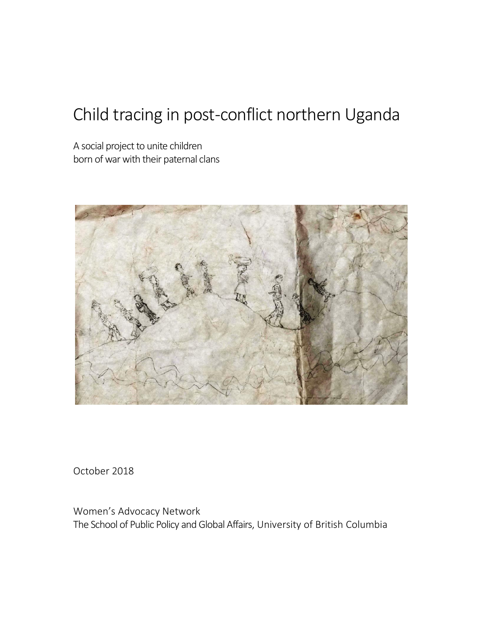# Child tracing in post-conflict northern Uganda

A social project to unite children born of war with their paternal clans



October 2018

Women's Advocacy Network The School of Public Policy and Global Affairs, University of British Columbia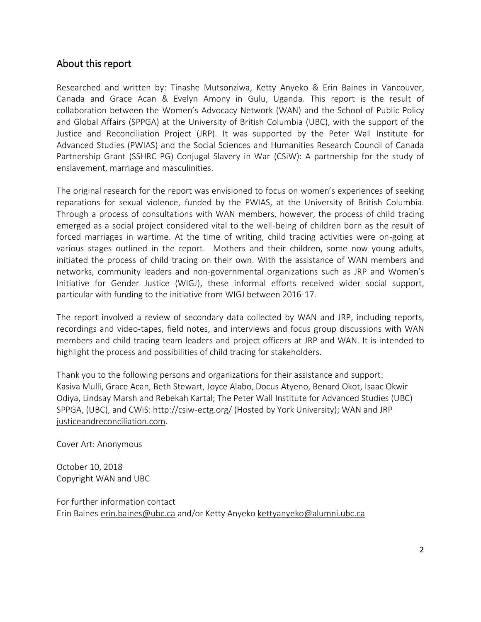#### About this report

Researched and written by: Tinashe Mutsonziwa, Ketty Anyeko & Erin Baines in Vancouver, Canada and Grace Acan & Evelyn Amony in Gulu, Uganda. This report is the result of collaboration between the Women's Advocacy Network (WAN) and the School of Public Policy and Global Affairs (SPPGA) at the University of British Columbia (UBC), with the support of the Justice and Reconciliation Project (JRP). It was supported by the Peter Wall Institute for Advanced Studies (PWIAS) and the Social Sciences and Humanities Research Council of Canada Partnership Grant (SSHRC PG) Conjugal Slavery in War (CSiW): A partnership for the study of enslavement, marriage and masculinities.

The original research for the report was envisioned to focus on women's experiences of seeking reparations for sexual violence, funded by the PWIAS, at the University of British Columbia. Through a process of consultations with WAN members, however, the process of child tracing emerged as a social project considered vital to the well-being of children born as the result of forced marriages in wartime. At the time of writing, child tracing activities were on-going at various stages outlined in the report. Mothers and their children, some now young adults, initiated the process of child tracing on their own. With the assistance of WAN members and networks, community leaders and non-governmental organizations such as JRP and Women's Initiative for Gender Justice (WIGJ), these informal efforts received wider social support, particular with funding to the initiative from WIGJ between 2016-17.

The report involved a review of secondary data collected by WAN and JRP, including reports, recordings and video-tapes, field notes, and interviews and focus group discussions with WAN members and child tracing team leaders and project officers at JRP and WAN. It is intended to highlight the process and possibilities of child tracing for stakeholders.

Thank you to the following persons and organizations for their assistance and support: Kasiva Mulli, Grace Acan, Beth Stewart, Joyce Alabo, Docus Atyeno, Benard Okot, Isaac Okwir Odiya, Lindsay Marsh and Rebekah Kartal; The Peter Wall Institute for Advanced Studies (UBC) SPPGA, (UBC), and CWiS[: http://csiw-ectg.org/](http://csiw-ectg.org/) (Hosted by York University); WAN and JRP [justiceandreconciliation.com.](justiceandreconciliation.com)

Cover Art: Anonymous

October 10, 2018 Copyright WAN and UBC

For further information contact Erin Baines [erin.baines@ubc.ca](mailto:erin.baines@ubc.ca) and/or Ketty Anyeko kettyanyeko@alumni.ubc.ca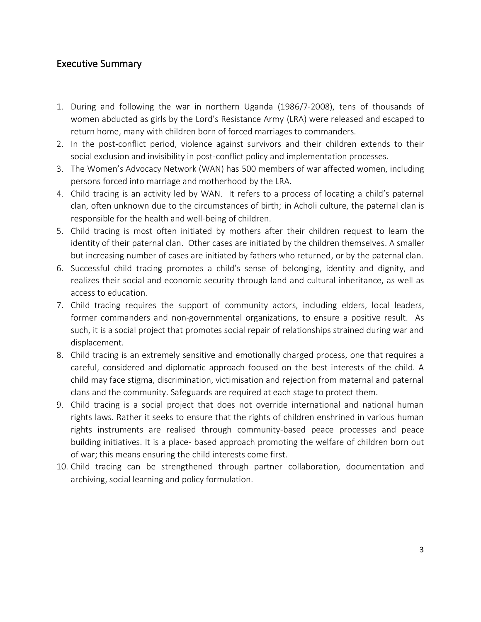#### Executive Summary

- 1. During and following the war in northern Uganda (1986/7-2008), tens of thousands of women abducted as girls by the Lord's Resistance Army (LRA) were released and escaped to return home, many with children born of forced marriages to commanders.
- 2. In the post-conflict period, violence against survivors and their children extends to their social exclusion and invisibility in post-conflict policy and implementation processes.
- 3. The Women's Advocacy Network (WAN) has 500 members of war affected women, including persons forced into marriage and motherhood by the LRA.
- 4. Child tracing is an activity led by WAN. It refers to a process of locating a child's paternal clan, often unknown due to the circumstances of birth; in Acholi culture, the paternal clan is responsible for the health and well-being of children.
- 5. Child tracing is most often initiated by mothers after their children request to learn the identity of their paternal clan. Other cases are initiated by the children themselves. A smaller but increasing number of cases are initiated by fathers who returned, or by the paternal clan.
- 6. Successful child tracing promotes a child's sense of belonging, identity and dignity, and realizes their social and economic security through land and cultural inheritance, as well as access to education.
- 7. Child tracing requires the support of community actors, including elders, local leaders, former commanders and non-governmental organizations, to ensure a positive result. As such, it is a social project that promotes social repair of relationships strained during war and displacement.
- 8. Child tracing is an extremely sensitive and emotionally charged process, one that requires a careful, considered and diplomatic approach focused on the best interests of the child. A child may face stigma, discrimination, victimisation and rejection from maternal and paternal clans and the community. Safeguards are required at each stage to protect them.
- 9. Child tracing is a social project that does not override international and national human rights laws. Rather it seeks to ensure that the rights of children enshrined in various human rights instruments are realised through community-based peace processes and peace building initiatives. It is a place- based approach promoting the welfare of children born out of war; this means ensuring the child interests come first.
- 10. Child tracing can be strengthened through partner collaboration, documentation and archiving, social learning and policy formulation.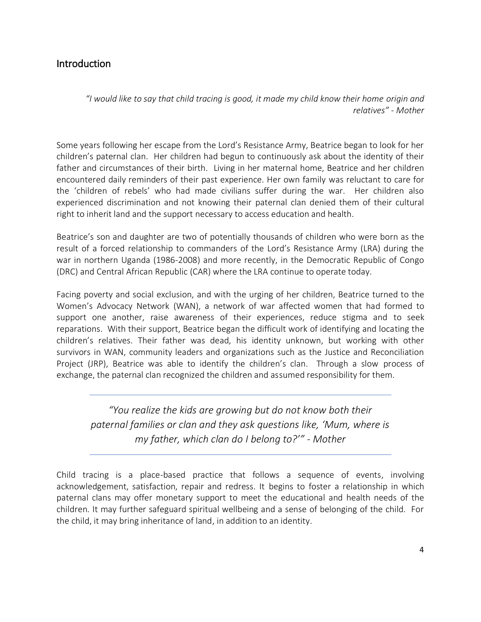## Introduction

*"I would like to say that child tracing is good, it made my child know their home origin and relatives" - Mother*

Some years following her escape from the Lord's Resistance Army, Beatrice began to look for her children's paternal clan. Her children had begun to continuously ask about the identity of their father and circumstances of their birth. Living in her maternal home, Beatrice and her children encountered daily reminders of their past experience. Her own family was reluctant to care for the 'children of rebels' who had made civilians suffer during the war. Her children also experienced discrimination and not knowing their paternal clan denied them of their cultural right to inherit land and the support necessary to access education and health.

Beatrice's son and daughter are two of potentially thousands of children who were born as the result of a forced relationship to commanders of the Lord's Resistance Army (LRA) during the war in northern Uganda (1986-2008) and more recently, in the Democratic Republic of Congo (DRC) and Central African Republic (CAR) where the LRA continue to operate today.

Facing poverty and social exclusion, and with the urging of her children, Beatrice turned to the Women's Advocacy Network (WAN), a network of war affected women that had formed to support one another, raise awareness of their experiences, reduce stigma and to seek reparations. With their support, Beatrice began the difficult work of identifying and locating the children's relatives. Their father was dead, his identity unknown, but working with other survivors in WAN, community leaders and organizations such as the Justice and Reconciliation Project (JRP), Beatrice was able to identify the children's clan. Through a slow process of exchange, the paternal clan recognized the children and assumed responsibility for them.

*"You realize the kids are growing but do not know both their paternal families or clan and they ask questions like, 'Mum, where is my father, which clan do I belong to?'" - Mother*

Child tracing is a place-based practice that follows a sequence of events, involving acknowledgement, satisfaction, repair and redress. It begins to foster a relationship in which paternal clans may offer monetary support to meet the educational and health needs of the children. It may further safeguard spiritual wellbeing and a sense of belonging of the child. For the child, it may bring inheritance of land, in addition to an identity.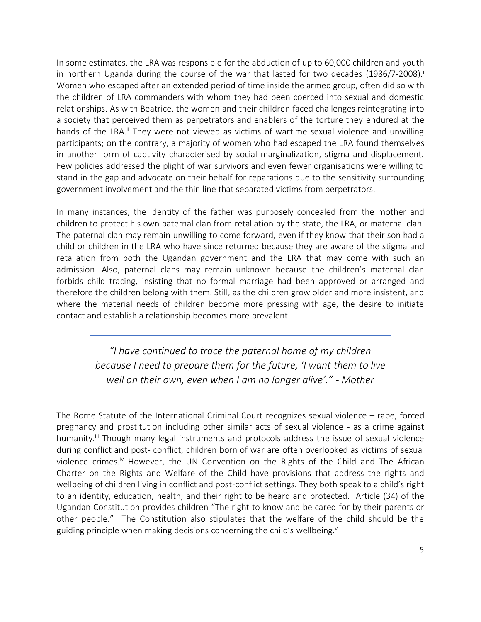In some estimates, the LRA was responsible for the abduction of up to 60,000 children and youth in northern Uganda during the course of the war that lasted for two decades (1986/7-2008). Women who escaped after an extended period of time inside the armed group, often did so with the children of LRA commanders with whom they had been coerced into sexual and domestic relationships. As with Beatrice, the women and their children faced challenges reintegrating into a society that perceived them as perpetrators and enablers of the torture they endured at the hands of the LRA.<sup>ii</sup> They were not viewed as victims of wartime sexual violence and unwilling participants; on the contrary, a majority of women who had escaped the LRA found themselves in another form of captivity characterised by social marginalization, stigma and displacement. Few policies addressed the plight of war survivors and even fewer organisations were willing to stand in the gap and advocate on their behalf for reparations due to the sensitivity surrounding government involvement and the thin line that separated victims from perpetrators.

In many instances, the identity of the father was purposely concealed from the mother and children to protect his own paternal clan from retaliation by the state, the LRA, or maternal clan. The paternal clan may remain unwilling to come forward, even if they know that their son had a child or children in the LRA who have since returned because they are aware of the stigma and retaliation from both the Ugandan government and the LRA that may come with such an admission. Also, paternal clans may remain unknown because the children's maternal clan forbids child tracing, insisting that no formal marriage had been approved or arranged and therefore the children belong with them. Still, as the children grow older and more insistent, and where the material needs of children become more pressing with age, the desire to initiate contact and establish a relationship becomes more prevalent.

> *"I have continued to trace the paternal home of my children because I need to prepare them for the future, 'I want them to live well on their own, even when I am no longer alive'." - Mother*

The Rome Statute of the International Criminal Court recognizes sexual violence – rape, forced pregnancy and prostitution including other similar acts of sexual violence - as a crime against humanity.<sup>iii</sup> Though many legal instruments and protocols address the issue of sexual violence during conflict and post- conflict, children born of war are often overlooked as victims of sexual violence crimes.<sup>iv</sup> However, the UN Convention on the Rights of the Child and The African Charter on the Rights and Welfare of the Child have provisions that address the rights and wellbeing of children living in conflict and post-conflict settings. They both speak to a child's right to an identity, education, health, and their right to be heard and protected. Article (34) of the Ugandan Constitution provides children "The right to know and be cared for by their parents or other people." The Constitution also stipulates that the welfare of the child should be the guiding principle when making decisions concerning the child's wellbeing.<sup>v</sup>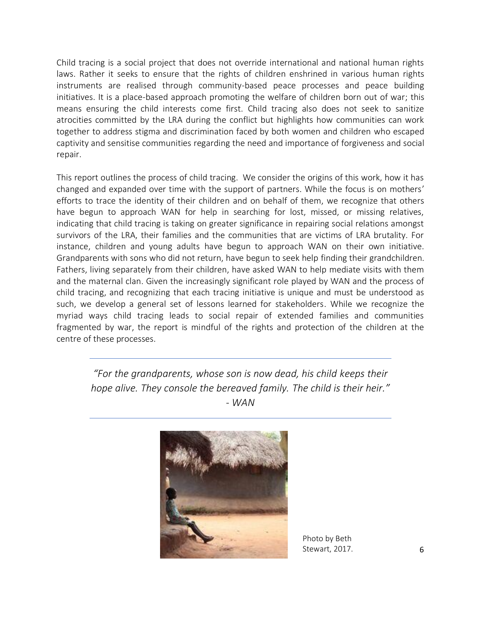Child tracing is a social project that does not override international and national human rights laws. Rather it seeks to ensure that the rights of children enshrined in various human rights instruments are realised through community-based peace processes and peace building initiatives. It is a place-based approach promoting the welfare of children born out of war; this means ensuring the child interests come first. Child tracing also does not seek to sanitize atrocities committed by the LRA during the conflict but highlights how communities can work together to address stigma and discrimination faced by both women and children who escaped captivity and sensitise communities regarding the need and importance of forgiveness and social repair.

This report outlines the process of child tracing. We consider the origins of this work, how it has changed and expanded over time with the support of partners. While the focus is on mothers' efforts to trace the identity of their children and on behalf of them, we recognize that others have begun to approach WAN for help in searching for lost, missed, or missing relatives, indicating that child tracing is taking on greater significance in repairing social relations amongst survivors of the LRA, their families and the communities that are victims of LRA brutality. For instance, children and young adults have begun to approach WAN on their own initiative. Grandparents with sons who did not return, have begun to seek help finding their grandchildren. Fathers, living separately from their children, have asked WAN to help mediate visits with them and the maternal clan. Given the increasingly significant role played by WAN and the process of child tracing, and recognizing that each tracing initiative is unique and must be understood as such, we develop a general set of lessons learned for stakeholders. While we recognize the myriad ways child tracing leads to social repair of extended families and communities fragmented by war, the report is mindful of the rights and protection of the children at the centre of these processes.

*"For the grandparents, whose son is now dead, his child keeps their hope alive. They console the bereaved family. The child is their heir." - WAN*



Photo by Beth Stewart, 2017.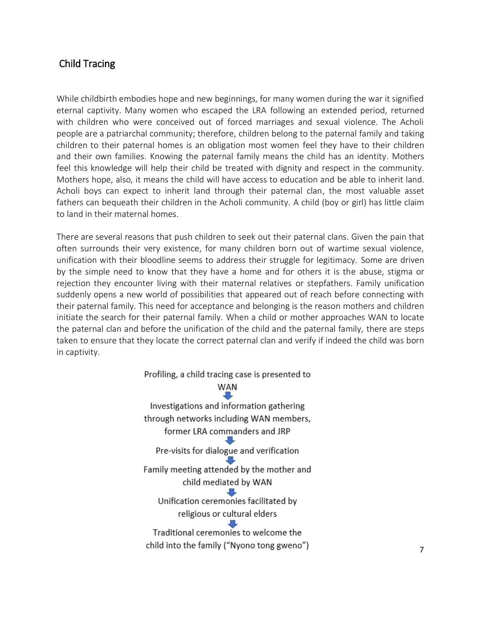## Child Tracing

While childbirth embodies hope and new beginnings, for many women during the war it signified eternal captivity. Many women who escaped the LRA following an extended period, returned with children who were conceived out of forced marriages and sexual violence. The Acholi people are a patriarchal community; therefore, children belong to the paternal family and taking children to their paternal homes is an obligation most women feel they have to their children and their own families. Knowing the paternal family means the child has an identity. Mothers feel this knowledge will help their child be treated with dignity and respect in the community. Mothers hope, also, it means the child will have access to education and be able to inherit land. Acholi boys can expect to inherit land through their paternal clan, the most valuable asset fathers can bequeath their children in the Acholi community. A child (boy or girl) has little claim to land in their maternal homes.

There are several reasons that push children to seek out their paternal clans. Given the pain that often surrounds their very existence, for many children born out of wartime sexual violence, unification with their bloodline seems to address their struggle for legitimacy. Some are driven by the simple need to know that they have a home and for others it is the abuse, stigma or rejection they encounter living with their maternal relatives or stepfathers. Family unification suddenly opens a new world of possibilities that appeared out of reach before connecting with their paternal family. This need for acceptance and belonging is the reason mothers and children initiate the search for their paternal family. When a child or mother approaches WAN to locate the paternal clan and before the unification of the child and the paternal family, there are steps taken to ensure that they locate the correct paternal clan and verify if indeed the child was born in captivity.

> Profiling, a child tracing case is presented to WAN Investigations and information gathering through networks including WAN members, former LRA commanders and JRP Pre-visits for dialogue and verification Family meeting attended by the mother and child mediated by WAN Unification ceremonies facilitated by religious or cultural elders Traditional ceremonies to welcome the child into the family ("Nyono tong gweno")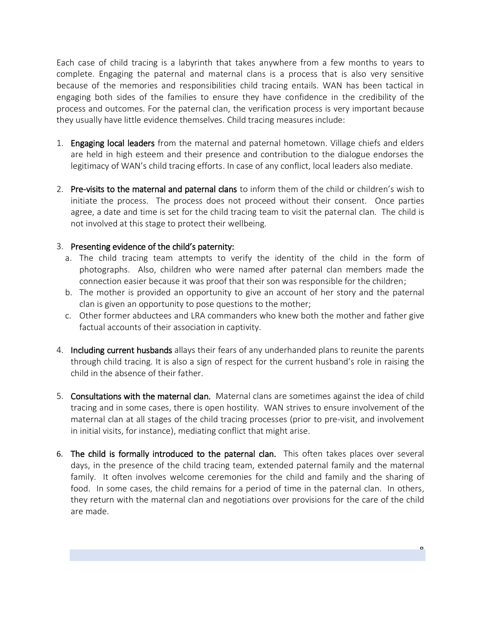Each case of child tracing is a labyrinth that takes anywhere from a few months to years to complete. Engaging the paternal and maternal clans is a process that is also very sensitive because of the memories and responsibilities child tracing entails. WAN has been tactical in engaging both sides of the families to ensure they have confidence in the credibility of the process and outcomes. For the paternal clan, the verification process is very important because they usually have little evidence themselves. Child tracing measures include:

- 1. Engaging local leaders from the maternal and paternal hometown. Village chiefs and elders are held in high esteem and their presence and contribution to the dialogue endorses the legitimacy of WAN's child tracing efforts. In case of any conflict, local leaders also mediate.
- 2. Pre-visits to the maternal and paternal clans to inform them of the child or children's wish to initiate the process. The process does not proceed without their consent. Once parties agree, a date and time is set for the child tracing team to visit the paternal clan. The child is not involved at this stage to protect their wellbeing.

#### 3. Presenting evidence of the child's paternity:

- a. The child tracing team attempts to verify the identity of the child in the form of photographs. Also, children who were named after paternal clan members made the connection easier because it was proof that their son was responsible for the children;
- b. The mother is provided an opportunity to give an account of her story and the paternal clan is given an opportunity to pose questions to the mother;
- c. Other former abductees and LRA commanders who knew both the mother and father give factual accounts of their association in captivity.
- 4. Including current husbands allays their fears of any underhanded plans to reunite the parents through child tracing. It is also a sign of respect for the current husband's role in raising the child in the absence of their father.
- 5. Consultations with the maternal clan. Maternal clans are sometimes against the idea of child tracing and in some cases, there is open hostility. WAN strives to ensure involvement of the maternal clan at all stages of the child tracing processes (prior to pre-visit, and involvement in initial visits, for instance), mediating conflict that might arise.
- 6. The child is formally introduced to the paternal clan. This often takes places over several days, in the presence of the child tracing team, extended paternal family and the maternal family. It often involves welcome ceremonies for the child and family and the sharing of food. In some cases, the child remains for a period of time in the paternal clan. In others, they return with the maternal clan and negotiations over provisions for the care of the child are made.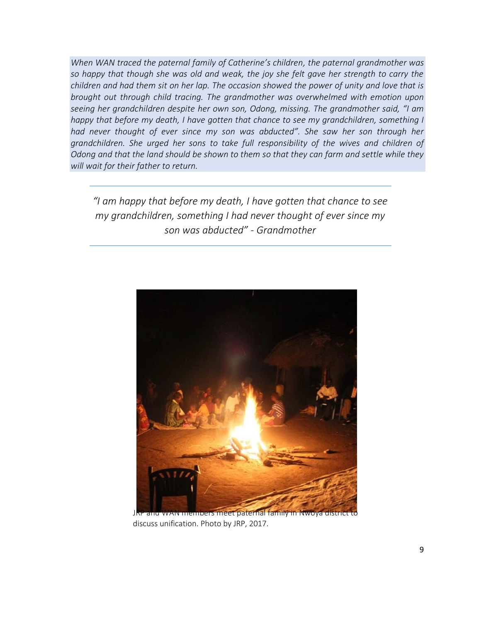*When WAN traced the paternal family of Catherine's children, the paternal grandmother was so happy that though she was old and weak, the joy she felt gave her strength to carry the children and had them sit on her lap. The occasion showed the power of unity and love that is brought out through child tracing. The grandmother was overwhelmed with emotion upon seeing her grandchildren despite her own son, Odong, missing. The grandmother said, "I am happy that before my death, I have gotten that chance to see my grandchildren, something I had never thought of ever since my son was abducted". She saw her son through her grandchildren. She urged her sons to take full responsibility of the wives and children of Odong and that the land should be shown to them so that they can farm and settle while they will wait for their father to return.*

*"I am happy that before my death, I have gotten that chance to see my grandchildren, something I had never thought of ever since my son was abducted" - Grandmother*



JRP and WAN members meet paternal family in Nwoya district to discuss unification. Photo by JRP, 2017.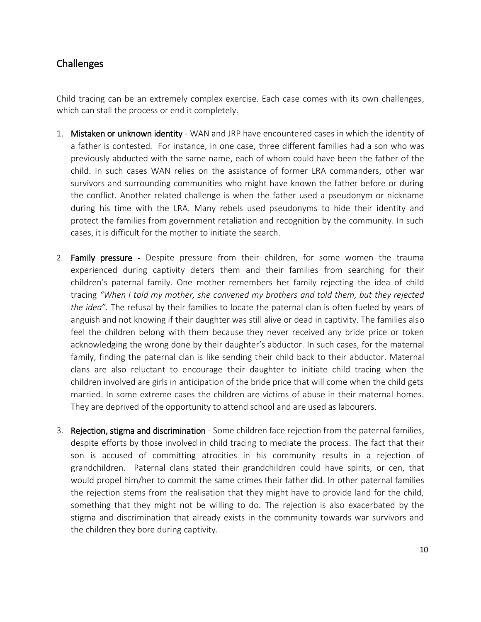#### Challenges

Child tracing can be an extremely complex exercise. Each case comes with its own challenges, which can stall the process or end it completely.

- 1. Mistaken or unknown identity WAN and JRP have encountered cases in which the identity of a father is contested. For instance, in one case, three different families had a son who was previously abducted with the same name, each of whom could have been the father of the child. In such cases WAN relies on the assistance of former LRA commanders, other war survivors and surrounding communities who might have known the father before or during the conflict. Another related challenge is when the father used a pseudonym or nickname during his time with the LRA. Many rebels used pseudonyms to hide their identity and protect the families from government retaliation and recognition by the community. In such cases, it is difficult for the mother to initiate the search.
- 2. Family pressure Despite pressure from their children, for some women the trauma experienced during captivity deters them and their families from searching for their children's paternal family. One mother remembers her family rejecting the idea of child tracing *"When I told my mother, she convened my brothers and told them, but they rejected the idea".* The refusal by their families to locate the paternal clan is often fueled by years of anguish and not knowing if their daughter was still alive or dead in captivity. The families also feel the children belong with them because they never received any bride price or token acknowledging the wrong done by their daughter's abductor. In such cases, for the maternal family, finding the paternal clan is like sending their child back to their abductor. Maternal clans are also reluctant to encourage their daughter to initiate child tracing when the children involved are girls in anticipation of the bride price that will come when the child gets married. In some extreme cases the children are victims of abuse in their maternal homes. They are deprived of the opportunity to attend school and are used as labourers.
- 3. Rejection, stigma and discrimination Some children face rejection from the paternal families, despite efforts by those involved in child tracing to mediate the process. The fact that their son is accused of committing atrocities in his community results in a rejection of grandchildren. Paternal clans stated their grandchildren could have spirits, or cen, that would propel him/her to commit the same crimes their father did. In other paternal families the rejection stems from the realisation that they might have to provide land for the child, something that they might not be willing to do. The rejection is also exacerbated by the stigma and discrimination that already exists in the community towards war survivors and the children they bore during captivity.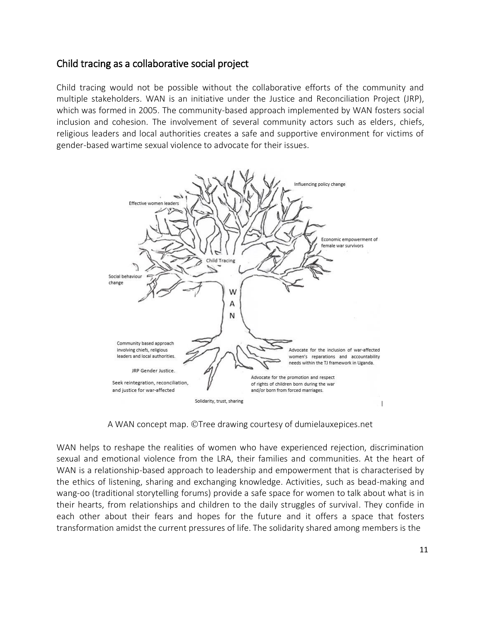#### Child tracing as a collaborative social project

Child tracing would not be possible without the collaborative efforts of the community and multiple stakeholders. WAN is an initiative under the Justice and Reconciliation Project (JRP), which was formed in 2005. The community-based approach implemented by WAN fosters social inclusion and cohesion. The involvement of several community actors such as elders, chiefs, religious leaders and local authorities creates a safe and supportive environment for victims of gender-based wartime sexual violence to advocate for their issues.



A WAN concept map. ©Tree drawing courtesy of dumielauxepices.net

WAN helps to reshape the realities of women who have experienced rejection, discrimination sexual and emotional violence from the LRA, their families and communities. At the heart of WAN is a relationship-based approach to leadership and empowerment that is characterised by the ethics of listening, sharing and exchanging knowledge. Activities, such as bead-making and wang-oo (traditional storytelling forums) provide a safe space for women to talk about what is in their hearts, from relationships and children to the daily struggles of survival. They confide in each other about their fears and hopes for the future and it offers a space that fosters transformation amidst the current pressures of life. The solidarity shared among members is the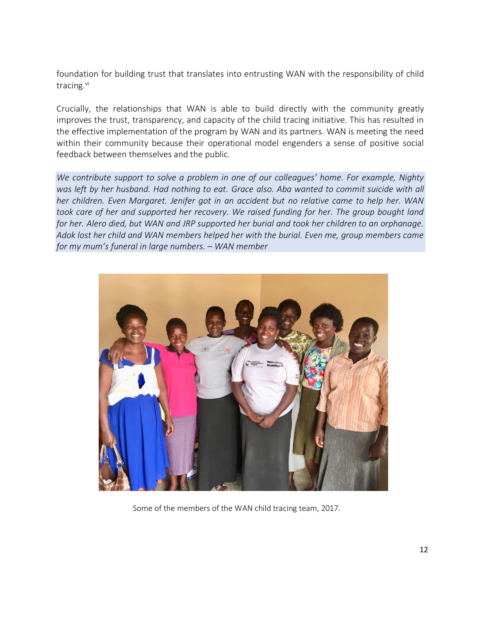foundation for building trust that translates into entrusting WAN with the responsibility of child tracing.<sup>vi</sup>

Crucially, the relationships that WAN is able to build directly with the community greatly improves the trust, transparency, and capacity of the child tracing initiative. This has resulted in the effective implementation of the program by WAN and its partners. WAN is meeting the need within their community because their operational model engenders a sense of positive social feedback between themselves and the public.

*We contribute support to solve a problem in one of our colleagues' home. For example, Nighty was left by her husband. Had nothing to eat. Grace also. Aba wanted to commit suicide with all her children. Even Margaret. Jenifer got in an accident but no relative came to help her. WAN took care of her and supported her recovery. We raised funding for her. The group bought land for her. Alero died, but WAN and JRP supported her burial and took her children to an orphanage. Adok lost her child and WAN members helped her with the burial. Even me, group members came for my mum's funeral in large numbers. – WAN member*



Some of the members of the WAN child tracing team, 2017.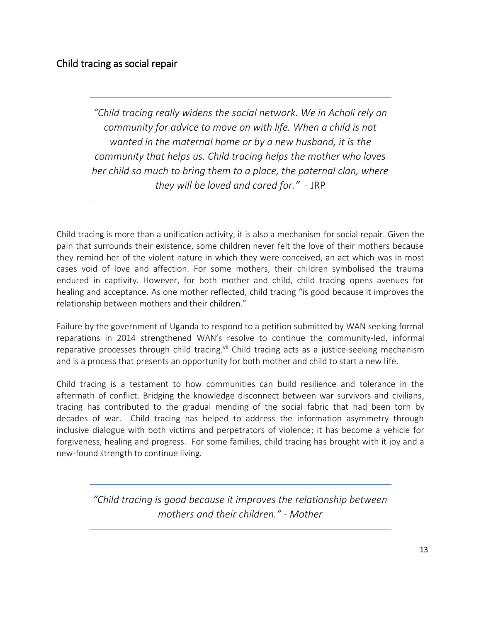## Child tracing as social repair

*"Child tracing really widens the social network. We in Acholi rely on community for advice to move on with life. When a child is not wanted in the maternal home or by a new husband, it is the community that helps us. Child tracing helps the mother who loves her child so much to bring them to a place, the paternal clan, where they will be loved and cared for."* - JRP

Child tracing is more than a unification activity, it is also a mechanism for social repair. Given the pain that surrounds their existence, some children never felt the love of their mothers because they remind her of the violent nature in which they were conceived, an act which was in most cases void of love and affection. For some mothers, their children symbolised the trauma endured in captivity. However, for both mother and child, child tracing opens avenues for healing and acceptance. As one mother reflected, child tracing "is good because it improves the relationship between mothers and their children."

Failure by the government of Uganda to respond to a petition submitted by WAN seeking formal reparations in 2014 strengthened WAN's resolve to continue the community-led, informal reparative processes through child tracing.<sup>vii</sup> Child tracing acts as a justice-seeking mechanism and is a process that presents an opportunity for both mother and child to start a new life.

Child tracing is a testament to how communities can build resilience and tolerance in the aftermath of conflict. Bridging the knowledge disconnect between war survivors and civilians, tracing has contributed to the gradual mending of the social fabric that had been torn by decades of war. Child tracing has helped to address the information asymmetry through inclusive dialogue with both victims and perpetrators of violence; it has become a vehicle for forgiveness, healing and progress. For some families, child tracing has brought with it joy and a new-found strength to continue living.

> *"Child tracing is good because it improves the relationship between mothers and their children." - Mother*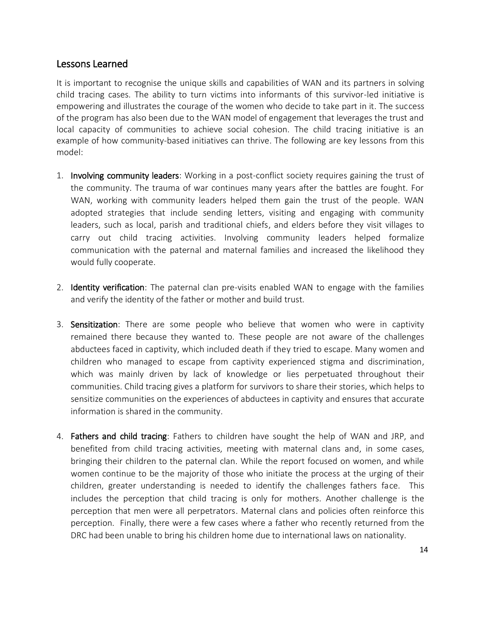#### Lessons Learned

It is important to recognise the unique skills and capabilities of WAN and its partners in solving child tracing cases. The ability to turn victims into informants of this survivor-led initiative is empowering and illustrates the courage of the women who decide to take part in it. The success of the program has also been due to the WAN model of engagement that leverages the trust and local capacity of communities to achieve social cohesion. The child tracing initiative is an example of how community-based initiatives can thrive. The following are key lessons from this model:

- 1. Involving community leaders: Working in a post-conflict society requires gaining the trust of the community. The trauma of war continues many years after the battles are fought. For WAN, working with community leaders helped them gain the trust of the people. WAN adopted strategies that include sending letters, visiting and engaging with community leaders, such as local, parish and traditional chiefs, and elders before they visit villages to carry out child tracing activities. Involving community leaders helped formalize communication with the paternal and maternal families and increased the likelihood they would fully cooperate.
- 2. **Identity verification**: The paternal clan pre-visits enabled WAN to engage with the families and verify the identity of the father or mother and build trust.
- 3. Sensitization: There are some people who believe that women who were in captivity remained there because they wanted to. These people are not aware of the challenges abductees faced in captivity, which included death if they tried to escape. Many women and children who managed to escape from captivity experienced stigma and discrimination, which was mainly driven by lack of knowledge or lies perpetuated throughout their communities. Child tracing gives a platform for survivors to share their stories, which helps to sensitize communities on the experiences of abductees in captivity and ensures that accurate information is shared in the community.
- 4. Fathers and child tracing: Fathers to children have sought the help of WAN and JRP, and benefited from child tracing activities, meeting with maternal clans and, in some cases, bringing their children to the paternal clan. While the report focused on women, and while women continue to be the majority of those who initiate the process at the urging of their children, greater understanding is needed to identify the challenges fathers face. This includes the perception that child tracing is only for mothers. Another challenge is the perception that men were all perpetrators. Maternal clans and policies often reinforce this perception. Finally, there were a few cases where a father who recently returned from the DRC had been unable to bring his children home due to international laws on nationality.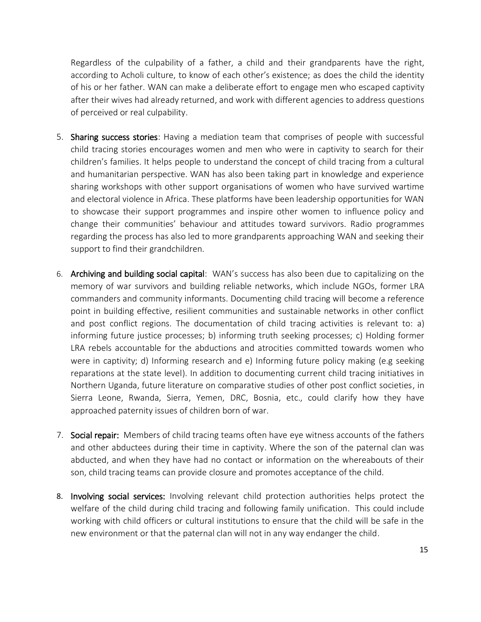Regardless of the culpability of a father, a child and their grandparents have the right, according to Acholi culture, to know of each other's existence; as does the child the identity of his or her father. WAN can make a deliberate effort to engage men who escaped captivity after their wives had already returned, and work with different agencies to address questions of perceived or real culpability.

- 5. Sharing success stories: Having a mediation team that comprises of people with successful child tracing stories encourages women and men who were in captivity to search for their children's families. It helps people to understand the concept of child tracing from a cultural and humanitarian perspective. WAN has also been taking part in knowledge and experience sharing workshops with other support organisations of women who have survived wartime and electoral violence in Africa. These platforms have been leadership opportunities for WAN to showcase their support programmes and inspire other women to influence policy and change their communities' behaviour and attitudes toward survivors. Radio programmes regarding the process has also led to more grandparents approaching WAN and seeking their support to find their grandchildren.
- 6. Archiving and building social capital: WAN's success has also been due to capitalizing on the memory of war survivors and building reliable networks, which include NGOs, former LRA commanders and community informants. Documenting child tracing will become a reference point in building effective, resilient communities and sustainable networks in other conflict and post conflict regions. The documentation of child tracing activities is relevant to: a) informing future justice processes; b) informing truth seeking processes; c) Holding former LRA rebels accountable for the abductions and atrocities committed towards women who were in captivity; d) Informing research and e) Informing future policy making (e.g seeking reparations at the state level). In addition to documenting current child tracing initiatives in Northern Uganda, future literature on comparative studies of other post conflict societies, in Sierra Leone, Rwanda, Sierra, Yemen, DRC, Bosnia, etc., could clarify how they have approached paternity issues of children born of war.
- 7. Social repair: Members of child tracing teams often have eye witness accounts of the fathers and other abductees during their time in captivity. Where the son of the paternal clan was abducted, and when they have had no contact or information on the whereabouts of their son, child tracing teams can provide closure and promotes acceptance of the child.
- 8. Involving social services: Involving relevant child protection authorities helps protect the welfare of the child during child tracing and following family unification. This could include working with child officers or cultural institutions to ensure that the child will be safe in the new environment or that the paternal clan will not in any way endanger the child.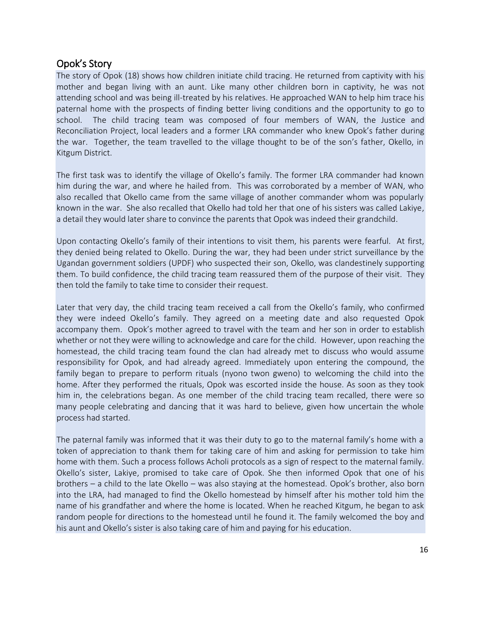#### Opok's Story

The story of Opok (18) shows how children initiate child tracing. He returned from captivity with his mother and began living with an aunt. Like many other children born in captivity, he was not attending school and was being ill-treated by his relatives. He approached WAN to help him trace his paternal home with the prospects of finding better living conditions and the opportunity to go to school. The child tracing team was composed of four members of WAN, the Justice and Reconciliation Project, local leaders and a former LRA commander who knew Opok's father during the war. Together, the team travelled to the village thought to be of the son's father, Okello, in Kitgum District.

The first task was to identify the village of Okello's family. The former LRA commander had known him during the war, and where he hailed from. This was corroborated by a member of WAN, who also recalled that Okello came from the same village of another commander whom was popularly known in the war. She also recalled that Okello had told her that one of his sisters was called Lakiye, a detail they would later share to convince the parents that Opok was indeed their grandchild.

Upon contacting Okello's family of their intentions to visit them, his parents were fearful. At first, they denied being related to Okello. During the war, they had been under strict surveillance by the Ugandan government soldiers (UPDF) who suspected their son, Okello, was clandestinely supporting them. To build confidence, the child tracing team reassured them of the purpose of their visit. They then told the family to take time to consider their request.

Later that very day, the child tracing team received a call from the Okello's family, who confirmed they were indeed Okello's family. They agreed on a meeting date and also requested Opok accompany them. Opok's mother agreed to travel with the team and her son in order to establish whether or not they were willing to acknowledge and care for the child. However, upon reaching the homestead, the child tracing team found the clan had already met to discuss who would assume responsibility for Opok, and had already agreed. Immediately upon entering the compound, the family began to prepare to perform rituals (nyono twon gweno) to welcoming the child into the home. After they performed the rituals, Opok was escorted inside the house. As soon as they took him in, the celebrations began. As one member of the child tracing team recalled, there were so many people celebrating and dancing that it was hard to believe, given how uncertain the whole process had started.

The paternal family was informed that it was their duty to go to the maternal family's home with a token of appreciation to thank them for taking care of him and asking for permission to take him home with them. Such a process follows Acholi protocols as a sign of respect to the maternal family. Okello's sister, Lakiye, promised to take care of Opok. She then informed Opok that one of his brothers – a child to the late Okello – was also staying at the homestead. Opok's brother, also born into the LRA, had managed to find the Okello homestead by himself after his mother told him the name of his grandfather and where the home is located. When he reached Kitgum, he began to ask random people for directions to the homestead until he found it. The family welcomed the boy and his aunt and Okello's sister is also taking care of him and paying for his education.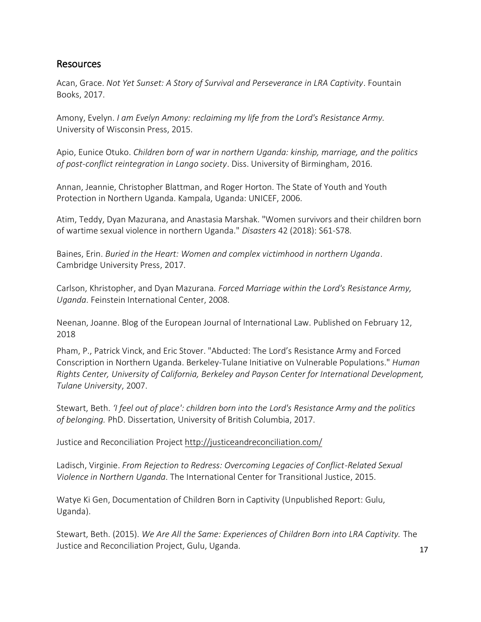#### Resources

Acan, Grace. *Not Yet Sunset: A Story of Survival and Perseverance in LRA Captivity*. Fountain Books, 2017.

Amony, Evelyn. *I am Evelyn Amony: reclaiming my life from the Lord's Resistance Army.* University of Wisconsin Press, 2015.

Apio, Eunice Otuko. *Children born of war in northern Uganda: kinship, marriage, and the politics of post-conflict reintegration in Lango society*. Diss. University of Birmingham, 2016.

Annan, Jeannie, Christopher Blattman, and Roger Horton. The State of Youth and Youth Protection in Northern Uganda. Kampala, Uganda: UNICEF, 2006.

Atim, Teddy, Dyan Mazurana, and Anastasia Marshak. "Women survivors and their children born of wartime sexual violence in northern Uganda." *Disasters* 42 (2018): S61-S78.

Baines, Erin. *Buried in the Heart: Women and complex victimhood in northern Uganda*. Cambridge University Press, 2017.

Carlson, Khristopher, and Dyan Mazurana. *Forced Marriage within the Lord's Resistance Army, Uganda*. Feinstein International Center, 2008.

Neenan, Joanne. Blog of the European Journal of International Law. Published on February 12, 2018

Pham, P., Patrick Vinck, and Eric Stover. "Abducted: The Lord's Resistance Army and Forced Conscription in Northern Uganda. Berkeley-Tulane Initiative on Vulnerable Populations." *Human Rights Center, University of California, Berkeley and Payson Center for International Development, Tulane University*, 2007.

Stewart, Beth. *'I feel out of place': children born into the Lord's Resistance Army and the politics of belonging.* PhD. Dissertation, University of British Columbia, 2017.

Justice and Reconciliation Project<http://justiceandreconciliation.com/>

Ladisch, Virginie. *From Rejection to Redress: Overcoming Legacies of Conflict-Related Sexual Violence in Northern Uganda*. The International Center for Transitional Justice, 2015.

Watye Ki Gen, Documentation of Children Born in Captivity (Unpublished Report: Gulu, Uganda).

Stewart, Beth. (2015). *We Are All the Same: Experiences of Children Born into LRA Captivity.* The Justice and Reconciliation Project, Gulu, Uganda.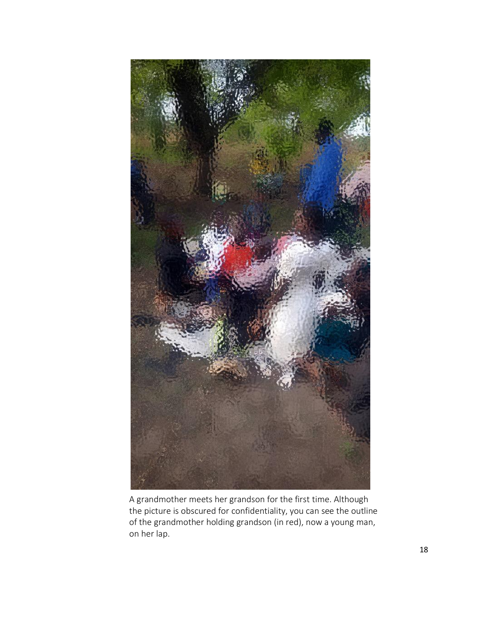

A grandmother meets her grandson for the first time. Although the picture is obscured for confidentiality, you can see the outline of the grandmother holding grandson (in red), now a young man, on her lap.